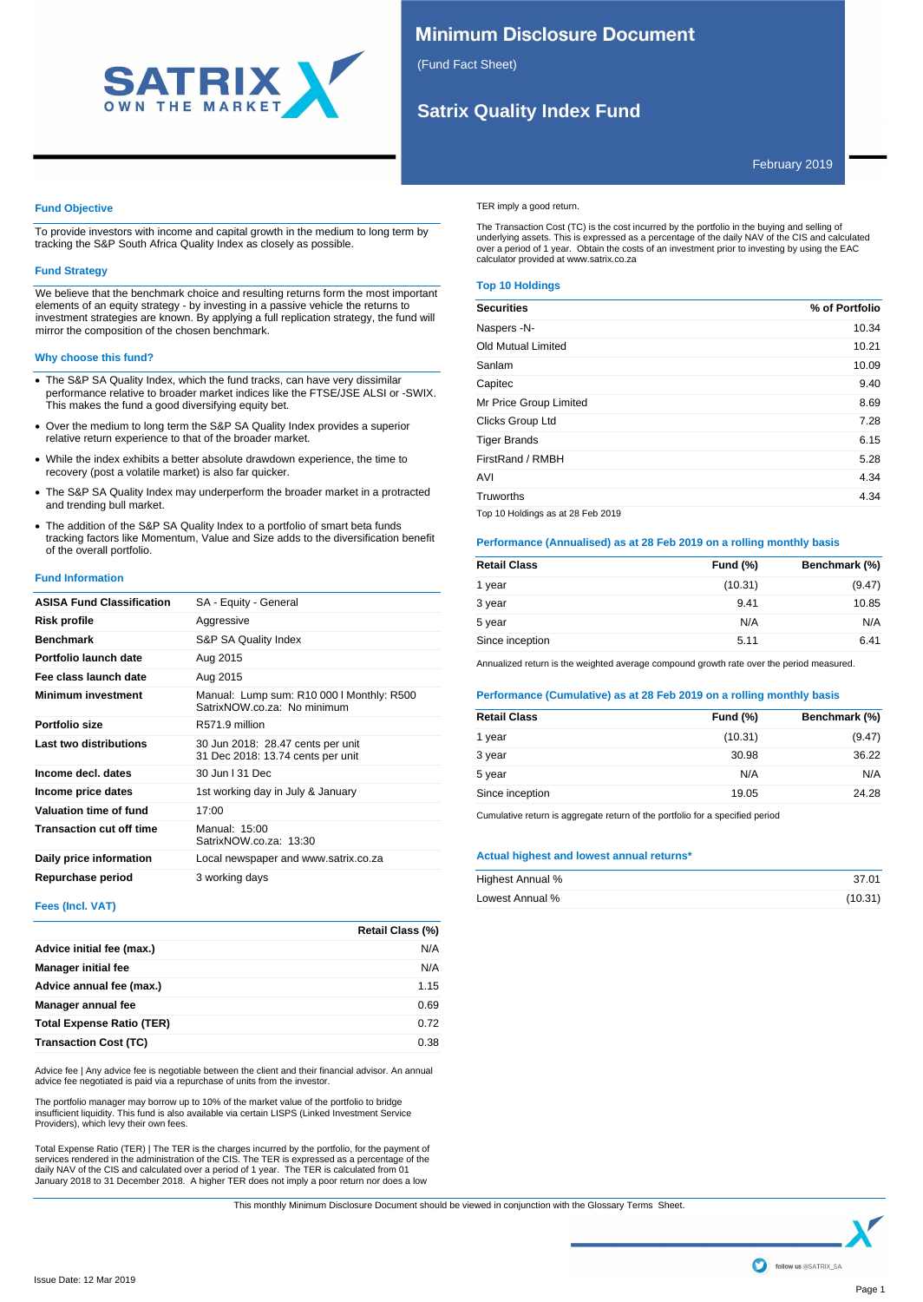

# **Minimum Disclosure Document**

(Fund Fact Sheet)

# **Satrix Quality Index Fund**

## February 2019

## **Fund Objective**

To provide investors with income and capital growth in the medium to long term by tracking the S&P South Africa Quality Index as closely as possible.

## **Fund Strategy**

We believe that the benchmark choice and resulting returns form the most important elements of an equity strategy - by investing in a passive vehicle the returns to investment strategies are known. By applying a full replication strategy, the fund will mirror the composition of the chosen benchmark.

## **Why choose this fund?**

- · The S&P SA Quality Index, which the fund tracks, can have very dissimilar performance relative to broader market indices like the FTSE/JSE ALSI or -SWIX. This makes the fund a good diversifying equity bet.
- · Over the medium to long term the S&P SA Quality Index provides a superior relative return experience to that of the broader market.
- · While the index exhibits a better absolute drawdown experience, the time to recovery (post a volatile market) is also far quicker.
- · The S&P SA Quality Index may underperform the broader market in a protracted and trending bull market.
- · The addition of the S&P SA Quality Index to a portfolio of smart beta funds tracking factors like Momentum, Value and Size adds to the diversification benefit of the overall portfolio.

## **Fund Information**

| <b>ASISA Fund Classification</b> | SA - Equity - General                                                    |
|----------------------------------|--------------------------------------------------------------------------|
| Risk profile                     | Aggressive                                                               |
| <b>Benchmark</b>                 | S&P SA Quality Index                                                     |
| Portfolio launch date            | Aug 2015                                                                 |
| Fee class launch date            | Aug 2015                                                                 |
| <b>Minimum investment</b>        | Manual: Lump sum: R10 000   Monthly: R500<br>SatrixNOW.co.za: No minimum |
| Portfolio size                   | R571.9 million                                                           |
| Last two distributions           | 30 Jun 2018: 28.47 cents per unit<br>31 Dec 2018: 13.74 cents per unit   |
| Income decl. dates               | 30 Jun   31 Dec                                                          |
| Income price dates               | 1st working day in July & January                                        |
| Valuation time of fund           | 17:00                                                                    |
| <b>Transaction cut off time</b>  | Manual: 15:00<br>SatrixNOW.co.za: 13:30                                  |
| Daily price information          | Local newspaper and www.satrix.co.za                                     |
| Repurchase period                | 3 working days                                                           |

## **Fees (Incl. VAT)**

|                                  | Retail Class (%) |
|----------------------------------|------------------|
| Advice initial fee (max.)        | N/A              |
| <b>Manager initial fee</b>       | N/A              |
| Advice annual fee (max.)         | 1.15             |
| Manager annual fee               | 0.69             |
| <b>Total Expense Ratio (TER)</b> | 0.72             |
| <b>Transaction Cost (TC)</b>     | 0.38             |

Advice fee | Any advice fee is negotiable between the client and their financial advisor. An annual advice fee negotiated is paid via a repurchase of units from the investor.

The portfolio manager may borrow up to 10% of the market value of the portfolio to bridge<br>insufficient liquidity. This fund is also available via certain LISPS (Linked Investment Service<br>Providers), which levy their own fe

Total Expense Ratio (TER) | The TER is the charges incurred by the portfolio, for the payment of<br>services rendered in the administration of the CIS. The TER is expressed as a percentage of the<br>daily NAV of the CIS and calc

TER imply a good return.

The Transaction Cost (TC) is the cost incurred by the portfolio in the buying and selling of<br>underlying assets. This is expressed as a percentage of the daily NAV of the CIS and calculated<br>over a period of 1 year. Obtain calculator provided at www.satrix.co.za

## **Top 10 Holdings**

| <b>Securities</b>                 | % of Portfolio |
|-----------------------------------|----------------|
| Naspers -N-                       | 10.34          |
| Old Mutual Limited                | 10.21          |
| Sanlam                            | 10.09          |
| Capitec                           | 9.40           |
| Mr Price Group Limited            | 8.69           |
| Clicks Group Ltd                  | 7.28           |
| <b>Tiger Brands</b>               | 6.15           |
| FirstRand / RMBH                  | 5.28           |
| AVI                               | 4.34           |
| Truworths                         | 4.34           |
| Top 10 Holdings as at 28 Feb 2019 |                |

**Performance (Annualised) as at 28 Feb 2019 on a rolling monthly basis**

| <b>Retail Class</b> | <b>Fund (%)</b> | Benchmark (%) |
|---------------------|-----------------|---------------|
| 1 year              | (10.31)         | (9.47)        |
| 3 year              | 9.41            | 10.85         |
| 5 year              | N/A             | N/A           |
| Since inception     | 5.11            | 6.41          |

Annualized return is the weighted average compound growth rate over the period measured.

## **Performance (Cumulative) as at 28 Feb 2019 on a rolling monthly basis**

| <b>Retail Class</b> | <b>Fund (%)</b> | Benchmark (%) |
|---------------------|-----------------|---------------|
| 1 year              | (10.31)         | (9.47)        |
| 3 year              | 30.98           | 36.22         |
| 5 year              | N/A             | N/A           |
| Since inception     | 19.05           | 24.28         |

Cumulative return is aggregate return of the portfolio for a specified period

## **Actual highest and lowest annual returns\***

| Highest Annual % | 37.01   |
|------------------|---------|
| Lowest Annual %  | (10.31) |

This monthly Minimum Disclosure Document should be viewed in conjunction with the Glossary Terms Sheet.

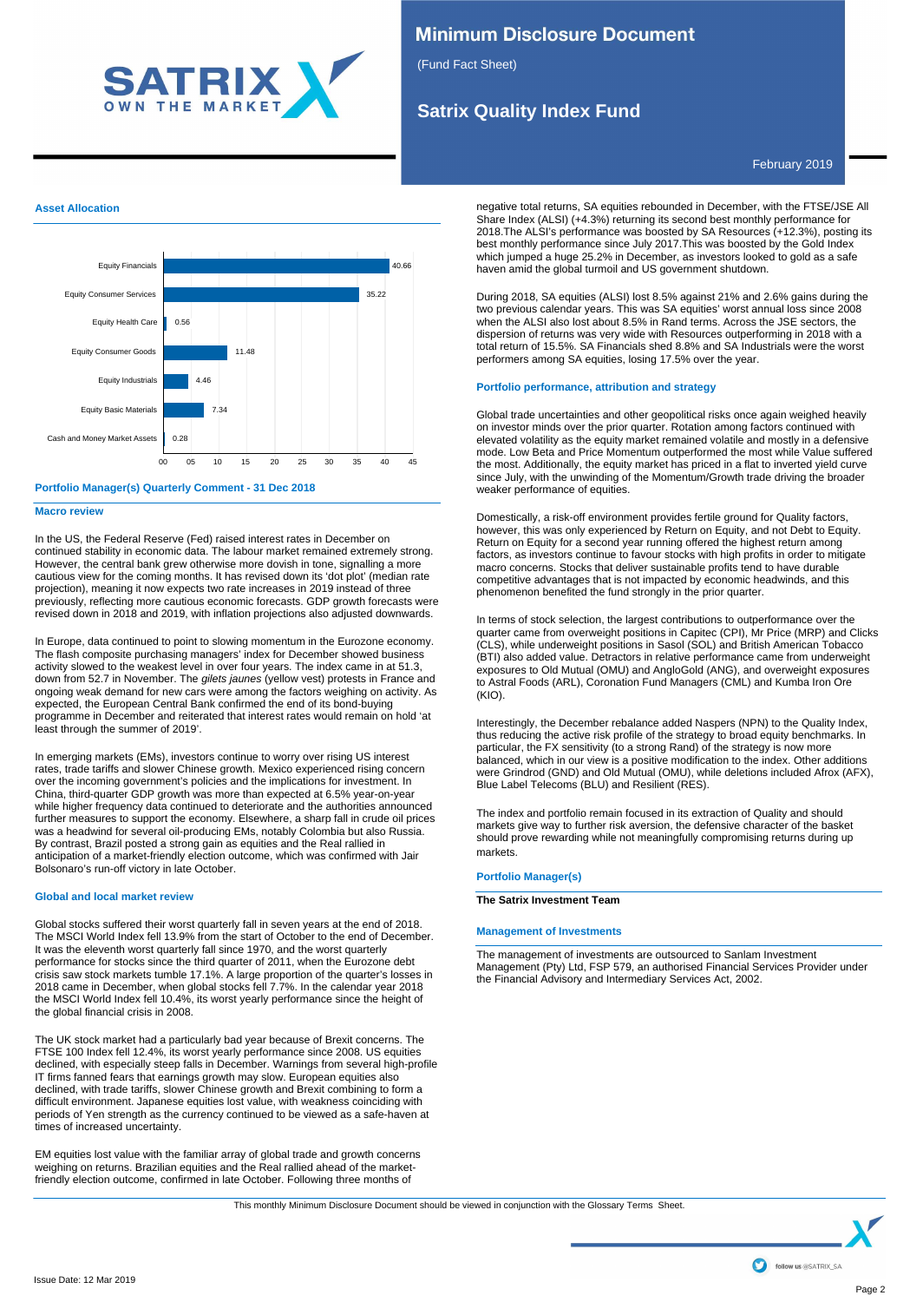

# **Minimum Disclosure Document**

(Fund Fact Sheet)

# **Satrix Quality Index Fund**

February 2019

## **Asset Allocation**





## **Macro review**

In the US, the Federal Reserve (Fed) raised interest rates in December on continued stability in economic data. The labour market remained extremely strong. However, the central bank grew otherwise more dovish in tone, signalling a more cautious view for the coming months. It has revised down its 'dot plot' (median rate projection), meaning it now expects two rate increases in 2019 instead of three previously, reflecting more cautious economic forecasts. GDP growth forecasts were revised down in 2018 and 2019, with inflation projections also adjusted downwards.

In Europe, data continued to point to slowing momentum in the Eurozone economy. The flash composite purchasing managers' index for December showed business activity slowed to the weakest level in over four years. The index came in at 51.3, down from 52.7 in November. The *gilets jaunes* (yellow vest) protests in France and ongoing weak demand for new cars were among the factors weighing on activity. As expected, the European Central Bank confirmed the end of its bond-buying programme in December and reiterated that interest rates would remain on hold 'at least through the summer of 2019'.

In emerging markets (EMs), investors continue to worry over rising US interest rates, trade tariffs and slower Chinese growth. Mexico experienced rising concern over the incoming government's policies and the implications for investment. In China, third-quarter GDP growth was more than expected at 6.5% year-on-year while higher frequency data continued to deteriorate and the authorities announced further measures to support the economy. Elsewhere, a sharp fall in crude oil prices was a headwind for several oil-producing EMs, notably Colombia but also Russia. By contrast, Brazil posted a strong gain as equities and the Real rallied in anticipation of a market-friendly election outcome, which was confirmed with Jair Bolsonaro's run-off victory in late October.

## **Global and local market review**

Global stocks suffered their worst quarterly fall in seven years at the end of 2018. The MSCI World Index fell 13.9% from the start of October to the end of December. It was the eleventh worst quarterly fall since 1970, and the worst quarterly performance for stocks since the third quarter of 2011, when the Eurozone debt crisis saw stock markets tumble 17.1%. A large proportion of the quarter's losses in 2018 came in December, when global stocks fell 7.7%. In the calendar year 2018 the MSCI World Index fell 10.4%, its worst yearly performance since the height of the global financial crisis in 2008.

The UK stock market had a particularly bad year because of Brexit concerns. The FTSE 100 Index fell 12.4%, its worst yearly performance since 2008. US equities declined, with especially steep falls in December. Warnings from several high-profile IT firms fanned fears that earnings growth may slow. European equities also declined, with trade tariffs, slower Chinese growth and Brexit combining to form a difficult environment. Japanese equities lost value, with weakness coinciding with periods of Yen strength as the currency continued to be viewed as a safe-haven at times of increased uncertainty.

EM equities lost value with the familiar array of global trade and growth concerns weighing on returns. Brazilian equities and the Real rallied ahead of the marketfriendly election outcome, confirmed in late October. Following three months of

negative total returns, SA equities rebounded in December, with the FTSE/JSE All Share Index (ALSI) (+4.3%) returning its second best monthly performance for 2018.The ALSI's performance was boosted by SA Resources (+12.3%), posting its best monthly performance since July 2017.This was boosted by the Gold Index which jumped a huge 25.2% in December, as investors looked to gold as a safe haven amid the global turmoil and US government shutdown.

During 2018, SA equities (ALSI) lost 8.5% against 21% and 2.6% gains during the two previous calendar years. This was SA equities' worst annual loss since 2008 when the ALSI also lost about 8.5% in Rand terms. Across the JSE sectors, the dispersion of returns was very wide with Resources outperforming in 2018 with a total return of 15.5%. SA Financials shed 8.8% and SA Industrials were the worst performers among SA equities, losing 17.5% over the year.

## **Portfolio performance, attribution and strategy**

Global trade uncertainties and other geopolitical risks once again weighed heavily on investor minds over the prior quarter. Rotation among factors continued with elevated volatility as the equity market remained volatile and mostly in a defensive mode. Low Beta and Price Momentum outperformed the most while Value suffered the most. Additionally, the equity market has priced in a flat to inverted yield curve since July, with the unwinding of the Momentum/Growth trade driving the broader weaker performance of equities.

Domestically, a risk-off environment provides fertile ground for Quality factors, however, this was only experienced by Return on Equity, and not Debt to Equity. Return on Equity for a second year running offered the highest return among factors, as investors continue to favour stocks with high profits in order to mitigate macro concerns. Stocks that deliver sustainable profits tend to have durable competitive advantages that is not impacted by economic headwinds, and this phenomenon benefited the fund strongly in the prior quarter.

In terms of stock selection, the largest contributions to outperformance over the quarter came from overweight positions in Capitec (CPI), Mr Price (MRP) and Clicks (CLS), while underweight positions in Sasol (SOL) and British American Tobacco (BTI) also added value. Detractors in relative performance came from underweight exposures to Old Mutual (OMU) and AngloGold (ANG), and overweight exposures to Astral Foods (ARL), Coronation Fund Managers (CML) and Kumba Iron Ore (KIO).

Interestingly, the December rebalance added Naspers (NPN) to the Quality Index, thus reducing the active risk profile of the strategy to broad equity benchmarks. In particular, the FX sensitivity (to a strong Rand) of the strategy is now more balanced, which in our view is a positive modification to the index. Other additions were Grindrod (GND) and Old Mutual (OMU), while deletions included Afrox (AFX), Blue Label Telecoms (BLU) and Resilient (RES).

The index and portfolio remain focused in its extraction of Quality and should markets give way to further risk aversion, the defensive character of the basket should prove rewarding while not meaningfully compromising returns during up markets.

## **Portfolio Manager(s)**

**The Satrix Investment Team**

## **Management of Investments**

The management of investments are outsourced to Sanlam Investment Management (Pty) Ltd, FSP 579, an authorised Financial Services Provider under the Financial Advisory and Intermediary Services Act, 2002.

This monthly Minimum Disclosure Document should be viewed in conjunction with the Glossary Terms Sheet.